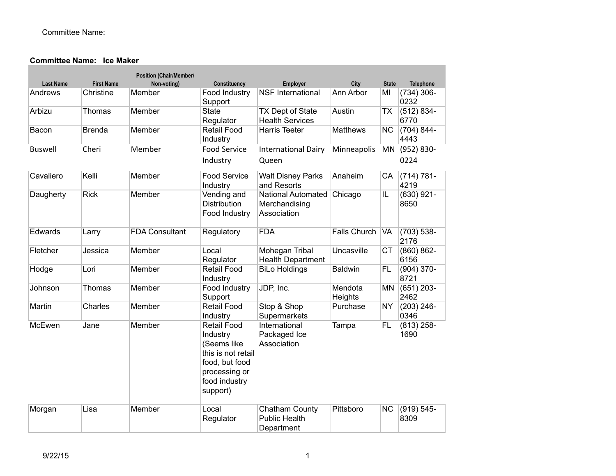## **Committee Name: Ice Maker**

| <b>Last Name</b> | <b>First Name</b> | <b>Position (Chair/Member/</b><br>Non-voting) | Constituency                                                                                                                 | Employer                                                  | City                | <b>State</b> | <b>Telephone</b>      |
|------------------|-------------------|-----------------------------------------------|------------------------------------------------------------------------------------------------------------------------------|-----------------------------------------------------------|---------------------|--------------|-----------------------|
| Andrews          | Christine         | Member                                        | Food Industry                                                                                                                | <b>NSF International</b>                                  | Ann Arbor           | MI           | $(734)$ 306-<br>0232  |
| Arbizu           | Thomas            | Member                                        | Support<br><b>State</b><br>Regulator                                                                                         | TX Dept of State<br><b>Health Services</b>                | Austin              | <b>TX</b>    | $(512) 834 -$<br>6770 |
| Bacon            | <b>Brenda</b>     | Member                                        | Retail Food<br>Industry                                                                                                      | <b>Harris Teeter</b>                                      | <b>Matthews</b>     | <b>NC</b>    | $(704) 844 -$<br>4443 |
| <b>Buswell</b>   | Cheri             | Member                                        | <b>Food Service</b><br>Industry                                                                                              | <b>International Dairy</b><br>Queen                       | Minneapolis         | <b>MN</b>    | $(952) 830 -$<br>0224 |
| Cavaliero        | Kelli             | Member                                        | <b>Food Service</b><br>Industry                                                                                              | <b>Walt Disney Parks</b><br>and Resorts                   | Anaheim             | CA           | $(714) 781 -$<br>4219 |
| Daugherty        | <b>Rick</b>       | Member                                        | Vending and<br><b>Distribution</b><br>Food Industry                                                                          | <b>National Automated</b><br>Merchandising<br>Association | Chicago             | IL           | $(630)$ 921-<br>8650  |
| Edwards          | Larry             | <b>FDA Consultant</b>                         | Regulatory                                                                                                                   | <b>FDA</b>                                                | <b>Falls Church</b> | VA           | $(703) 538 -$<br>2176 |
| Fletcher         | Jessica           | Member                                        | Local<br>Regulator                                                                                                           | Mohegan Tribal<br><b>Health Department</b>                | Uncasville          | <b>CT</b>    | $(860) 862 -$<br>6156 |
| Hodge            | Lori              | Member                                        | Retail Food<br>Industry                                                                                                      | <b>BiLo Holdings</b>                                      | <b>Baldwin</b>      | FL.          | $(904)$ 370-<br>8721  |
| Johnson          | Thomas            | Member                                        | Food Industry<br>Support                                                                                                     | JDP, Inc.                                                 | Mendota<br>Heights  | MN           | $(651)$ 203-<br>2462  |
| Martin           | Charles           | Member                                        | Retail Food<br>Industry                                                                                                      | Stop & Shop<br>Supermarkets                               | Purchase            | <b>NY</b>    | $(203)$ 246-<br>0346  |
| McEwen           | Jane              | Member                                        | Retail Food<br>Industry<br>(Seems like<br>this is not retail<br>food, but food<br>processing or<br>food industry<br>support) | International<br>Packaged Ice<br>Association              | Tampa               | FL.          | $(813)$ 258-<br>1690  |
| Morgan           | Lisa              | Member                                        | Local<br>Regulator                                                                                                           | Chatham County<br><b>Public Health</b><br>Department      | Pittsboro           | <b>NC</b>    | $(919) 545 -$<br>8309 |

and the control of the control of the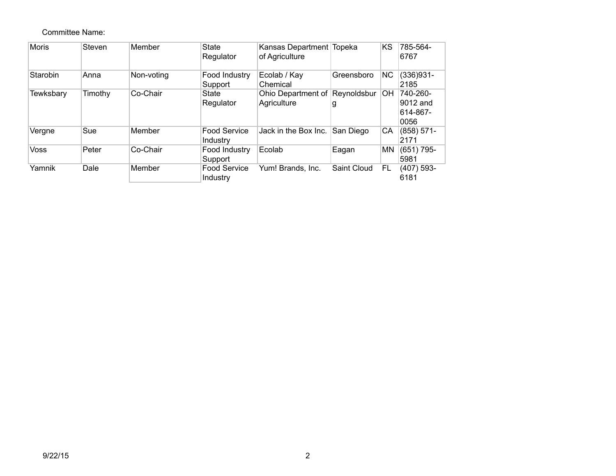## Committee Name:

| Moris       | Steven  | Member     | <b>State</b><br>Regulator       | Kansas Department Topeka<br>of Agriculture |                  | KS        | 785-564-<br>6767                         |
|-------------|---------|------------|---------------------------------|--------------------------------------------|------------------|-----------|------------------------------------------|
| Starobin    | Anna    | Non-voting | Food Industry<br>Support        | Ecolab / Kay<br>Chemical                   | Greensboro       | <b>NC</b> | $(336)931 -$<br>2185                     |
| Tewksbary   | Timothy | Co-Chair   | <b>State</b><br>Regulator       | Ohio Department of<br>Agriculture          | Reynoldsbur<br>g | OH        | 740-260-<br>9012 and<br>614-867-<br>0056 |
| Vergne      | Sue     | Member     | <b>Food Service</b><br>Industry | Jack in the Box Inc.                       | San Diego        | СA        | $(858) 571 -$<br>2171                    |
| <b>Voss</b> | Peter   | Co-Chair   | Food Industry<br>Support        | Ecolab                                     | Eagan            | ΜN        | $(651) 795 -$<br>5981                    |
| Yamnik      | Dale    | Member     | <b>Food Service</b><br>Industry | Yum! Brands, Inc.                          | Saint Cloud      | FL        | $(407)$ 593-<br>6181                     |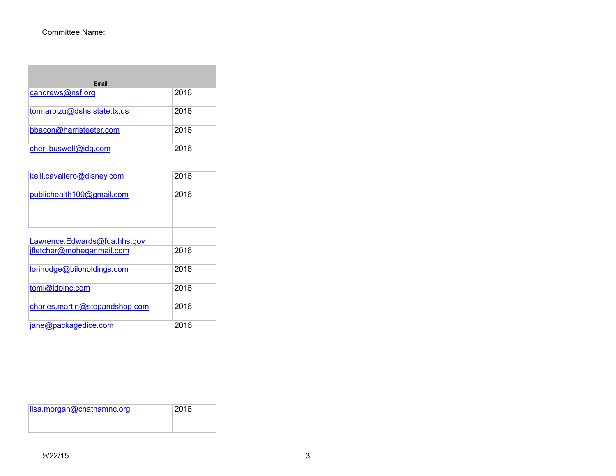## Committee Name:

| <b>Email</b>                   |      |
|--------------------------------|------|
| candrews@nsf.org               | 2016 |
| tom.arbizu@dshs.state.tx.us    | 2016 |
| bbacon@harristeeter.com        | 2016 |
| cheri.buswell@idq.com          | 2016 |
| kelli.cavaliero@disney.com     | 2016 |
| publichealth100@gmail.com      | 2016 |
| Lawrence.Edwards@fda.hhs.gov   |      |
| jfletcher@moheganmail.com      | 2016 |
| lorihodge@biloholdings.com     | 2016 |
| tomj@jdpinc.com                | 2016 |
| charles.martin@stopandshop.com | 2016 |
| jane@packagedice.com           | 2016 |

lisa.morgan@chathamnc.org 2016

9/22/15 3